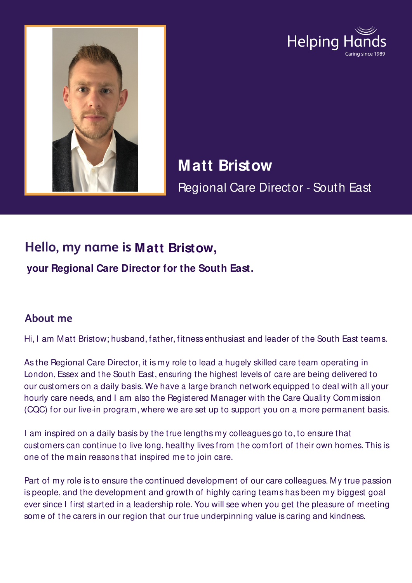



**Matt Bristow** Regional Care Director - South East

## **Hello, my name is Matt Bristow,**

**your Regional Care Director for the South East.**

## **About me**

Hi, I am Matt Bristow; husband, father, fitness enthusiast and leader of the South East teams.

As the Regional Care Director, it is my role to lead a hugely skilled care team operating in London, Essex and the South East, ensuring the highest levels of care are being delivered to our customers on a daily basis. We have a large branch network equipped to deal with all your hourly care needs, and I am also the Registered Manager with the Care Quality Commission (CQC) for our live-in program, where we are set up to support you on a more permanent basis.

I am inspired on a daily basis by the true lengths my colleagues go to, to ensure that customers can continue to live long, healthy lives from the comfort of their own homes. This is one of the main reasons that inspired me to join care.

Part of my role is to ensure the continued development of our care colleagues. My true passion is people, and the development and growth of highly caring teams has been my biggest goal ever since I first started in a leadership role. You will see when you get the pleasure of meeting some of the carers in our region that our true underpinning value is caring and kindness.